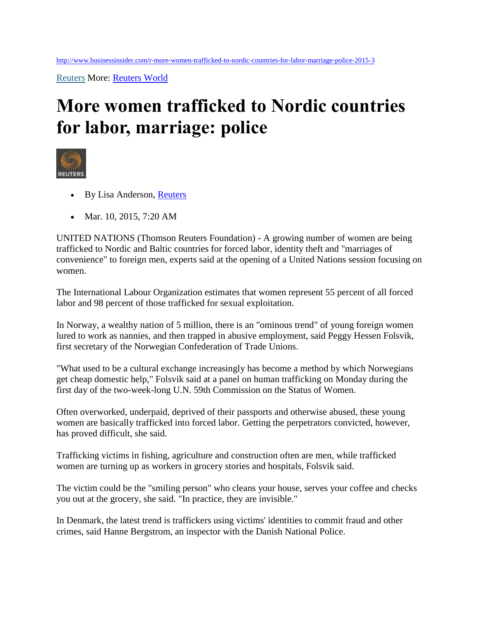[Reuters](http://www.businessinsider.com/reuters) More: [Reuters World](http://www.businessinsider.com/category/reuters-world)

## **More women trafficked to Nordic countries for labor, marriage: police**



- By Lisa Anderson, [Reuters](http://www.reuters.com/)
- Mar. 10, 2015, 7:20 AM

UNITED NATIONS (Thomson Reuters Foundation) - A growing number of women are being trafficked to Nordic and Baltic countries for forced labor, identity theft and "marriages of convenience" to foreign men, experts said at the opening of a United Nations session focusing on women.

The International Labour Organization estimates that women represent 55 percent of all forced labor and 98 percent of those trafficked for sexual exploitation.

In Norway, a wealthy nation of 5 million, there is an "ominous trend" of young foreign women lured to work as nannies, and then trapped in abusive employment, said Peggy Hessen Folsvik, first secretary of the Norwegian Confederation of Trade Unions.

"What used to be a cultural exchange increasingly has become a method by which Norwegians get cheap domestic help," Folsvik said at a panel on human trafficking on Monday during the first day of the two-week-long U.N. 59th Commission on the Status of Women.

Often overworked, underpaid, deprived of their passports and otherwise abused, these young women are basically trafficked into forced labor. Getting the perpetrators convicted, however, has proved difficult, she said.

Trafficking victims in fishing, agriculture and construction often are men, while trafficked women are turning up as workers in grocery stories and hospitals, Folsvik said.

The victim could be the "smiling person" who cleans your house, serves your coffee and checks you out at the grocery, she said. "In practice, they are invisible."

In Denmark, the latest trend is traffickers using victims' identities to commit fraud and other crimes, said Hanne Bergstrom, an inspector with the Danish National Police.